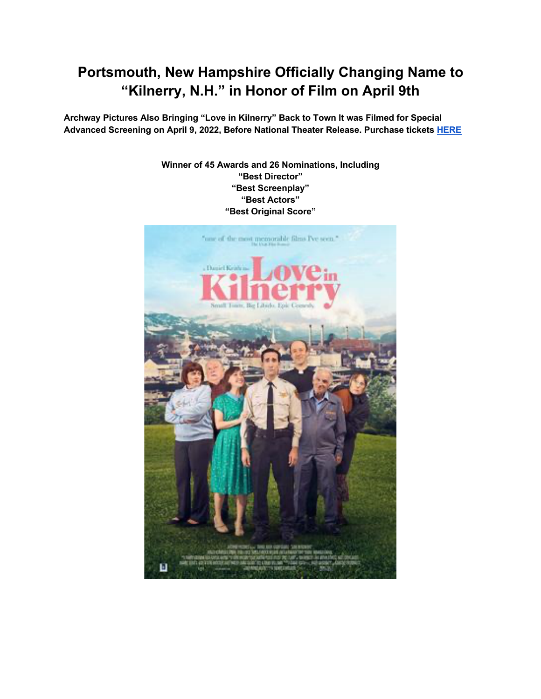# **Portsmouth, New Hampshire Officially Changing Name to "Kilnerry, N.H." in Honor of Film on April 9th**

**Archway Pictures Also Bringing "Love in Kilnerry" Back to Town It was Filmed for Special Advanced Screening on April 9, 2022, Before National Theater Release. Purchase tickets HERE**

### **Winner of 45 Awards and 26 Nominations, Including "Best Director" "Best Screenplay" "Best Actors" "Best Original Score"**

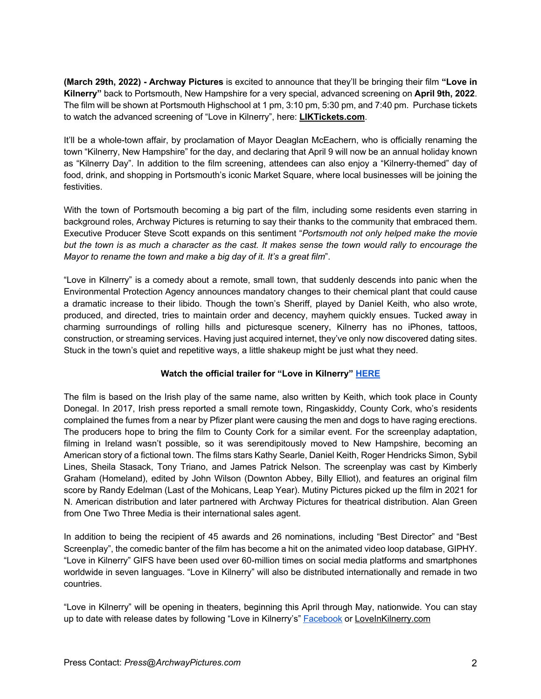**(March 29th, 2022) - Archway Pictures** is excited to announce that they'll be bringing their film **"Love in Kilnerry"** back to Portsmouth, New Hampshire for a very special, advanced screening on **April 9th, 2022**. The film will be shown at Portsmouth Highschool at 1 pm, 3:10 pm, 5:30 pm, and 7:40 pm. Purchase tickets to watch the advanced screening of "Love in Kilnerry", here: **LIKTickets.com**.

It'll be a whole-town affair, by proclamation of Mayor Deaglan McEachern, who is officially renaming the town "Kilnerry, New Hampshire" for the day, and declaring that April 9 will now be an annual holiday known as "Kilnerry Day". In addition to the film screening, attendees can also enjoy a "Kilnerry-themed" day of food, drink, and shopping in Portsmouth's iconic Market Square, where local businesses will be joining the festivities.

With the town of Portsmouth becoming a big part of the film, including some residents even starring in background roles, Archway Pictures is returning to say their thanks to the community that embraced them. Executive Producer Steve Scott expands on this sentiment "*Portsmouth not only helped make the movie but the town is as much a character as the cast. It makes sense the town would rally to encourage the Mayor to rename the town and make a big day of it. It's a great film*".

"Love in Kilnerry" is a comedy about a remote, small town, that suddenly descends into panic when the Environmental Protection Agency announces mandatory changes to their chemical plant that could cause a dramatic increase to their libido. Though the town's Sheriff, played by Daniel Keith, who also wrote, produced, and directed, tries to maintain order and decency, mayhem quickly ensues. Tucked away in charming surroundings of rolling hills and picturesque scenery, Kilnerry has no iPhones, tattoos, construction, or streaming services. Having just acquired internet, they've only now discovered dating sites. Stuck in the town's quiet and repetitive ways, a little shakeup might be just what they need.

## **Watch the official trailer for "Love in Kilnerry" HERE**

The film is based on the Irish play of the same name, also written by Keith, which took place in County Donegal. In 2017, Irish press reported a small remote town, Ringaskiddy, County Cork, who's residents complained the fumes from a near by Pfizer plant were causing the men and dogs to have raging erections. The producers hope to bring the film to County Cork for a similar event. For the screenplay adaptation, filming in Ireland wasn't possible, so it was serendipitously moved to New Hampshire, becoming an American story of a fictional town. The films stars Kathy Searle, Daniel Keith, Roger Hendricks Simon, Sybil Lines, Sheila Stasack, Tony Triano, and James Patrick Nelson. The screenplay was cast by Kimberly Graham (Homeland), edited by John Wilson (Downton Abbey, Billy Elliot), and features an original film score by Randy Edelman (Last of the Mohicans, Leap Year). Mutiny Pictures picked up the film in 2021 for N. American distribution and later partnered with Archway Pictures for theatrical distribution. Alan Green from One Two Three Media is their international sales agent.

In addition to being the recipient of 45 awards and 26 nominations, including "Best Director" and "Best Screenplay", the comedic banter of the film has become a hit on the animated video loop database, GIPHY. "Love in Kilnerry" GIFS have been used over 60-million times on social media platforms and smartphones worldwide in seven languages. "Love in Kilnerry" will also be distributed internationally and remade in two countries.

"Love in Kilnerry" will be opening in theaters, beginning this April through May, nationwide. You can stay up to date with release dates by following "Love in Kilnerry's" Facebook or LoveInKilnerry.com